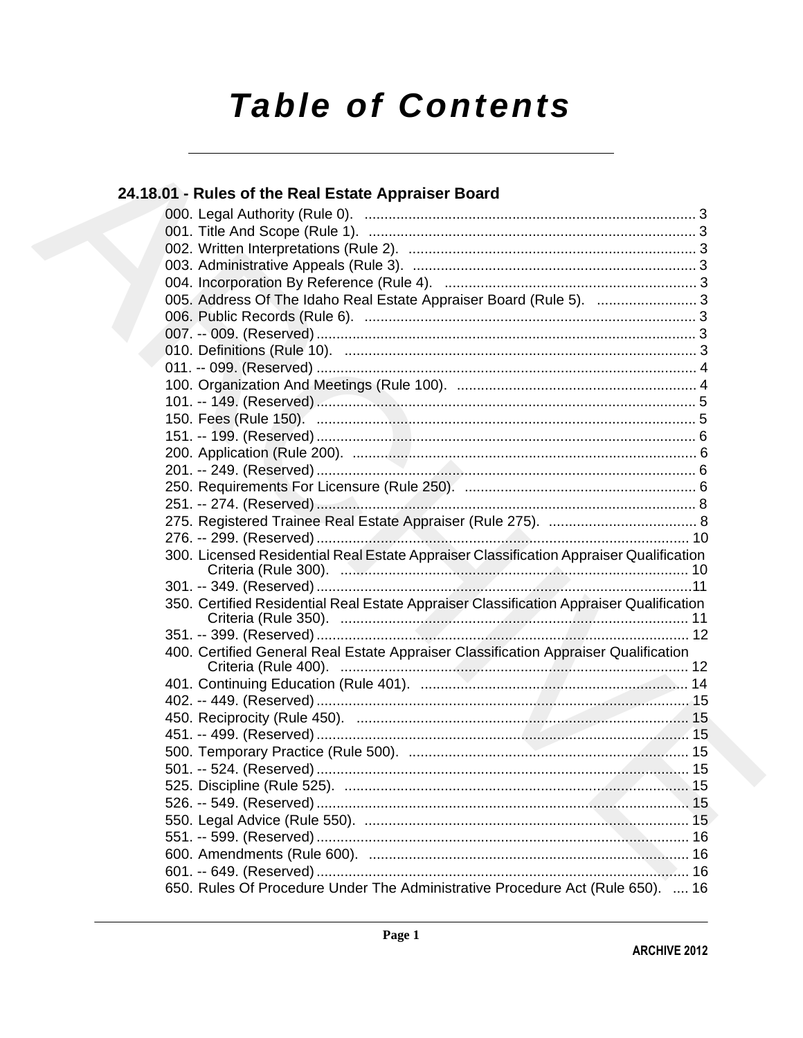# **Table of Contents**

## 24.18.01 - Rules of the Real Estate Appraiser Board

|  | 005. Address Of The Idaho Real Estate Appraiser Board (Rule 5).  3                      |  |
|--|-----------------------------------------------------------------------------------------|--|
|  |                                                                                         |  |
|  |                                                                                         |  |
|  |                                                                                         |  |
|  |                                                                                         |  |
|  |                                                                                         |  |
|  |                                                                                         |  |
|  |                                                                                         |  |
|  |                                                                                         |  |
|  |                                                                                         |  |
|  |                                                                                         |  |
|  |                                                                                         |  |
|  |                                                                                         |  |
|  |                                                                                         |  |
|  |                                                                                         |  |
|  | 300. Licensed Residential Real Estate Appraiser Classification Appraiser Qualification  |  |
|  |                                                                                         |  |
|  | 350. Certified Residential Real Estate Appraiser Classification Appraiser Qualification |  |
|  |                                                                                         |  |
|  | 400. Certified General Real Estate Appraiser Classification Appraiser Qualification     |  |
|  |                                                                                         |  |
|  |                                                                                         |  |
|  |                                                                                         |  |
|  |                                                                                         |  |
|  |                                                                                         |  |
|  |                                                                                         |  |
|  |                                                                                         |  |
|  |                                                                                         |  |
|  |                                                                                         |  |
|  |                                                                                         |  |
|  |                                                                                         |  |
|  |                                                                                         |  |
|  | 650. Rules Of Procedure Under The Administrative Procedure Act (Rule 650).  16          |  |
|  |                                                                                         |  |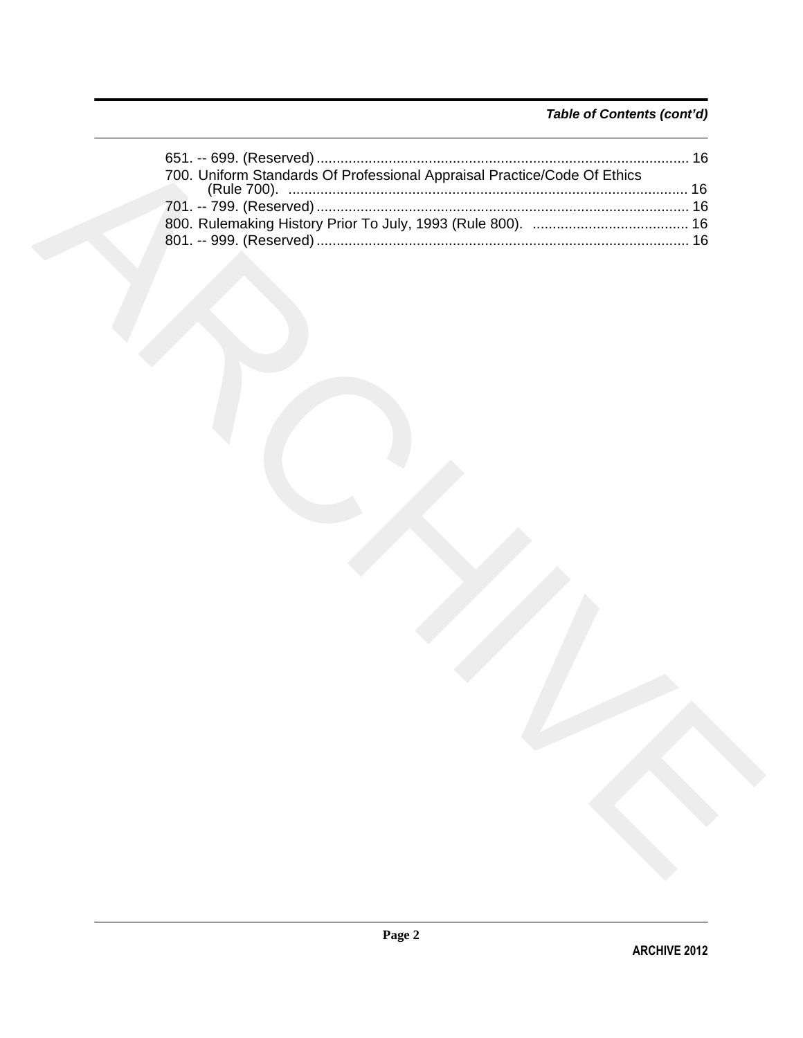## *Table of Contents (cont'd)*

| 700. Uniform Standards Of Professional Appraisal Practice/Code Of Ethics |  |
|--------------------------------------------------------------------------|--|
|                                                                          |  |
|                                                                          |  |
|                                                                          |  |
|                                                                          |  |
|                                                                          |  |
|                                                                          |  |
|                                                                          |  |
|                                                                          |  |
|                                                                          |  |
|                                                                          |  |
|                                                                          |  |
|                                                                          |  |
|                                                                          |  |
|                                                                          |  |
|                                                                          |  |
|                                                                          |  |
|                                                                          |  |
|                                                                          |  |
|                                                                          |  |
|                                                                          |  |
|                                                                          |  |
|                                                                          |  |
|                                                                          |  |
|                                                                          |  |
|                                                                          |  |
|                                                                          |  |
|                                                                          |  |
|                                                                          |  |
|                                                                          |  |
|                                                                          |  |
|                                                                          |  |
|                                                                          |  |
|                                                                          |  |
|                                                                          |  |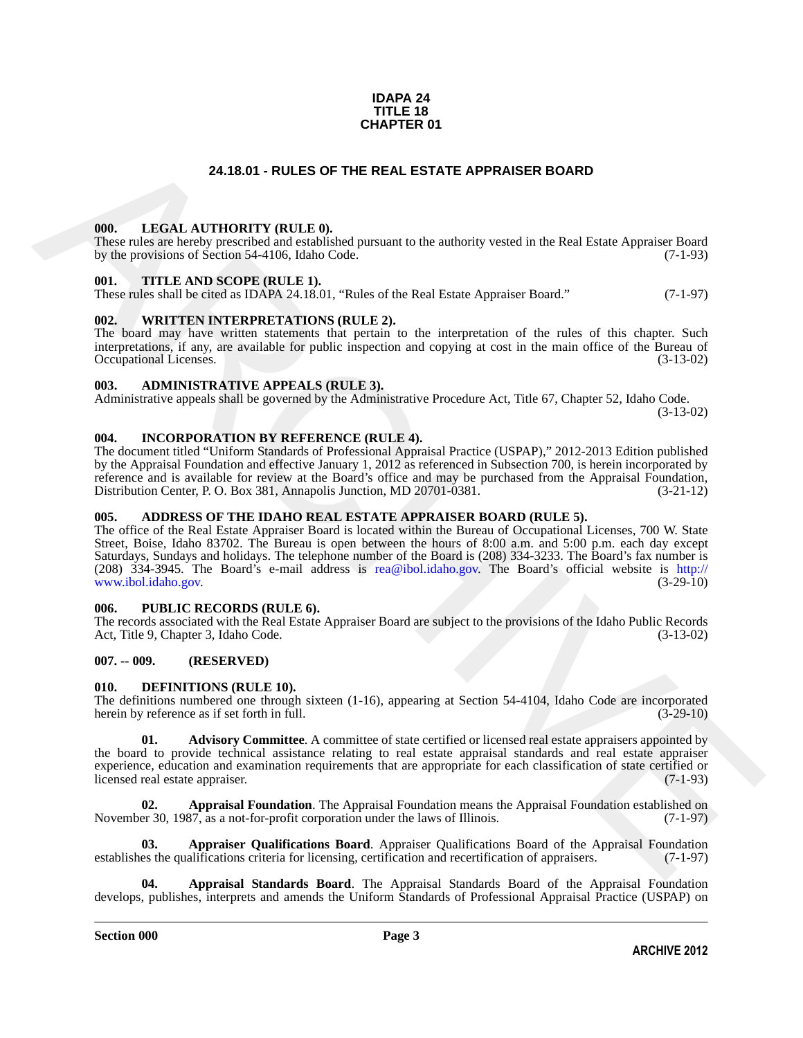#### **IDAPA 24 TITLE 18 CHAPTER 01**

#### **24.18.01 - RULES OF THE REAL ESTATE APPRAISER BOARD**

#### <span id="page-2-1"></span><span id="page-2-0"></span>**000. LEGAL AUTHORITY (RULE 0).**

These rules are hereby prescribed and established pursuant to the authority vested in the Real Estate Appraiser Board by the provisions of Section 54-4106, Idaho Code. (7-1-93)

#### <span id="page-2-2"></span>**001. TITLE AND SCOPE (RULE 1).**

These rules shall be cited as IDAPA 24.18.01, "Rules of the Real Estate Appraiser Board." (7-1-97)

#### <span id="page-2-3"></span>**002. WRITTEN INTERPRETATIONS (RULE 2).**

The board may have written statements that pertain to the interpretation of the rules of this chapter. Such interpretations, if any, are available for public inspection and copying at cost in the main office of the Bureau of Occupational Licenses. (3-13-02) Occupational Licenses.

#### <span id="page-2-4"></span>**003. ADMINISTRATIVE APPEALS (RULE 3).**

Administrative appeals shall be governed by the Administrative Procedure Act, Title 67, Chapter 52, Idaho Code.

(3-13-02)

#### <span id="page-2-5"></span>**004. INCORPORATION BY REFERENCE (RULE 4).**

The document titled "Uniform Standards of Professional Appraisal Practice (USPAP)," 2012-2013 Edition published by the Appraisal Foundation and effective January 1, 2012 as referenced in Subsection 700, is herein incorporated by reference and is available for review at the Board's office and may be purchased from the Appraisal Foundation, Distribution Center, P. O. Box 381, Annapolis Junction, MD 20701-0381. (3-21-12)

#### <span id="page-2-6"></span>**005. ADDRESS OF THE IDAHO REAL ESTATE APPRAISER BOARD (RULE 5).**

**24.18.01 - RULES OF THE REAL ESTATE APPRAISER BOARD<br>
1996.** LEGAL AITTIONEY (RITE.0).<br>
The method interpreteration continues the method interpreteration of the state of the state of the state Appendix (2-1.0).<br>
1996. Con The office of the Real Estate Appraiser Board is located within the Bureau of Occupational Licenses, 700 W. State Street, Boise, Idaho 83702. The Bureau is open between the hours of 8:00 a.m. and 5:00 p.m. each day except Saturdays, Sundays and holidays. The telephone number of the Board is (208) 334-3233. The Board's fax number is (208) 334-3945. The Board's e-mail address is rea@ibol.idaho.gov. The Board's official website is http:// www.ibol.idaho.gov.

#### <span id="page-2-7"></span>**006. PUBLIC RECORDS (RULE 6).**

The records associated with the Real Estate Appraiser Board are subject to the provisions of the Idaho Public Records<br>Act, Title 9, Chapter 3, Idaho Code. (3-13-02) Act, Title 9, Chapter 3, Idaho Code.

#### <span id="page-2-8"></span>**007. -- 009. (RESERVED)**

#### <span id="page-2-10"></span><span id="page-2-9"></span>**010. DEFINITIONS (RULE 10).**

The definitions numbered one through sixteen (1-16), appearing at Section 54-4104, Idaho Code are incorporated herein by reference as if set forth in full. (3-29-10) herein by reference as if set forth in full.

<span id="page-2-11"></span>Advisory Committee. A committee of state certified or licensed real estate appraisers appointed by the board to provide technical assistance relating to real estate appraisal standards and real estate appraiser experience, education and examination requirements that are appropriate for each classification of state certified or licensed real estate appraiser. (7-1-93) licensed real estate appraiser.

<span id="page-2-12"></span>**02. Appraisal Foundation**. The Appraisal Foundation means the Appraisal Foundation established on November 30, 1987, as a not-for-profit corporation under the laws of Illinois. (7-1-97)

<span id="page-2-14"></span>**03. Appraiser Qualifications Board**. Appraiser Qualifications Board of the Appraisal Foundation es the qualifications criteria for licensing, certification and recertification of appraisers. (7-1-97) establishes the qualifications criteria for licensing, certification and recertification of appraisers.

<span id="page-2-13"></span>**04. Appraisal Standards Board**. The Appraisal Standards Board of the Appraisal Foundation develops, publishes, interprets and amends the Uniform Standards of Professional Appraisal Practice (USPAP) on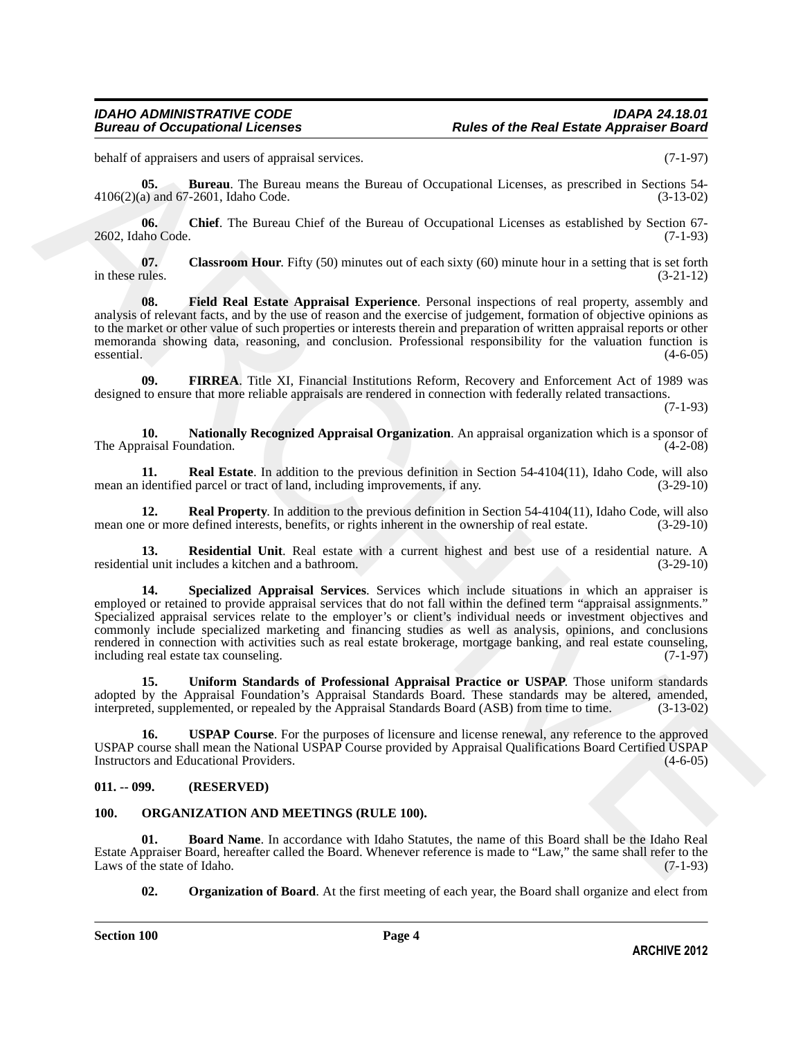behalf of appraisers and users of appraisal services. (7-1-97)

<span id="page-3-2"></span>**05. Bureau**. The Bureau means the Bureau of Occupational Licenses, as prescribed in Sections 54- 4106(2)(a) and 67-2601, Idaho Code. (3-13-02)

<span id="page-3-3"></span>**06.** Chief. The Bureau Chief of the Bureau of Occupational Licenses as established by Section 67-<br>(7-1-93) 2602, Idaho Code.

<span id="page-3-4"></span>**07.** Classroom Hour. Fifty (50) minutes out of each sixty (60) minute hour in a setting that is set forth in these rules. (3-21-12)

<span id="page-3-5"></span>**08. Field Real Estate Appraisal Experience**. Personal inspections of real property, assembly and analysis of relevant facts, and by the use of reason and the exercise of judgement, formation of objective opinions as to the market or other value of such properties or interests therein and preparation of written appraisal reports or other memoranda showing data, reasoning, and conclusion. Professional responsibility for the valuation function is essential. (4-6-05)

<span id="page-3-6"></span>**09. FIRREA**. Title XI, Financial Institutions Reform, Recovery and Enforcement Act of 1989 was designed to ensure that more reliable appraisals are rendered in connection with federally related transactions.

(7-1-93)

<span id="page-3-7"></span>**10. Nationally Recognized Appraisal Organization**. An appraisal organization which is a sponsor of The Appraisal Foundation.

<span id="page-3-8"></span>**11. Real Estate**. In addition to the previous definition in Section 54-4104(11), Idaho Code, will also identified parcel or tract of land, including improvements, if any. (3-29-10) mean an identified parcel or tract of land, including improvements, if any.

<span id="page-3-9"></span>**12. Real Property**. In addition to the previous definition in Section 54-4104(11), Idaho Code, will also e or more defined interests, benefits, or rights inherent in the ownership of real estate. (3-29-10) mean one or more defined interests, benefits, or rights inherent in the ownership of real estate.

<span id="page-3-11"></span><span id="page-3-10"></span>**13. Residential Unit**. Real estate with a current highest and best use of a residential nature. A al unit includes a kitchen and a bathroom. (3-29-10) residential unit includes a kitchen and a bathroom.

brbat of appearing the sure of appearing accelerates.<br>
ALCO(2)(3) and 60-500). Take Russian means the Bureau of Occupational Licenses, as prescribed in Sections<br>
ALCO(2)(3) and 60-500). Clause Cooks.<br>
ARCHIVE The Bureau o **14. Specialized Appraisal Services**. Services which include situations in which an appraiser is employed or retained to provide appraisal services that do not fall within the defined term "appraisal assignments." Specialized appraisal services relate to the employer's or client's individual needs or investment objectives and commonly include specialized marketing and financing studies as well as analysis, opinions, and conclusions rendered in connection with activities such as real estate brokerage, mortgage banking, and real estate counseling, including real estate tax counseling. (7-1-97)

<span id="page-3-12"></span>**15. Uniform Standards of Professional Appraisal Practice or USPAP**. Those uniform standards adopted by the Appraisal Foundation's Appraisal Standards Board. These standards may be altered, amended, interpreted, supplemented, or repealed by the Appraisal Standards Board (ASB) from time to time. (3-13-02)

<span id="page-3-13"></span>**16. USPAP Course**. For the purposes of licensure and license renewal, any reference to the approved USPAP course shall mean the National USPAP Course provided by Appraisal Qualifications Board Certified USPAP Instructors and Educational Providers.

#### <span id="page-3-0"></span>**011. -- 099. (RESERVED)**

#### <span id="page-3-14"></span><span id="page-3-1"></span>**100. ORGANIZATION AND MEETINGS (RULE 100).**

**01. Board Name**. In accordance with Idaho Statutes, the name of this Board shall be the Idaho Real Estate Appraiser Board, hereafter called the Board. Whenever reference is made to "Law," the same shall refer to the Laws of the state of Idaho.

<span id="page-3-16"></span><span id="page-3-15"></span>**02. Organization of Board**. At the first meeting of each year, the Board shall organize and elect from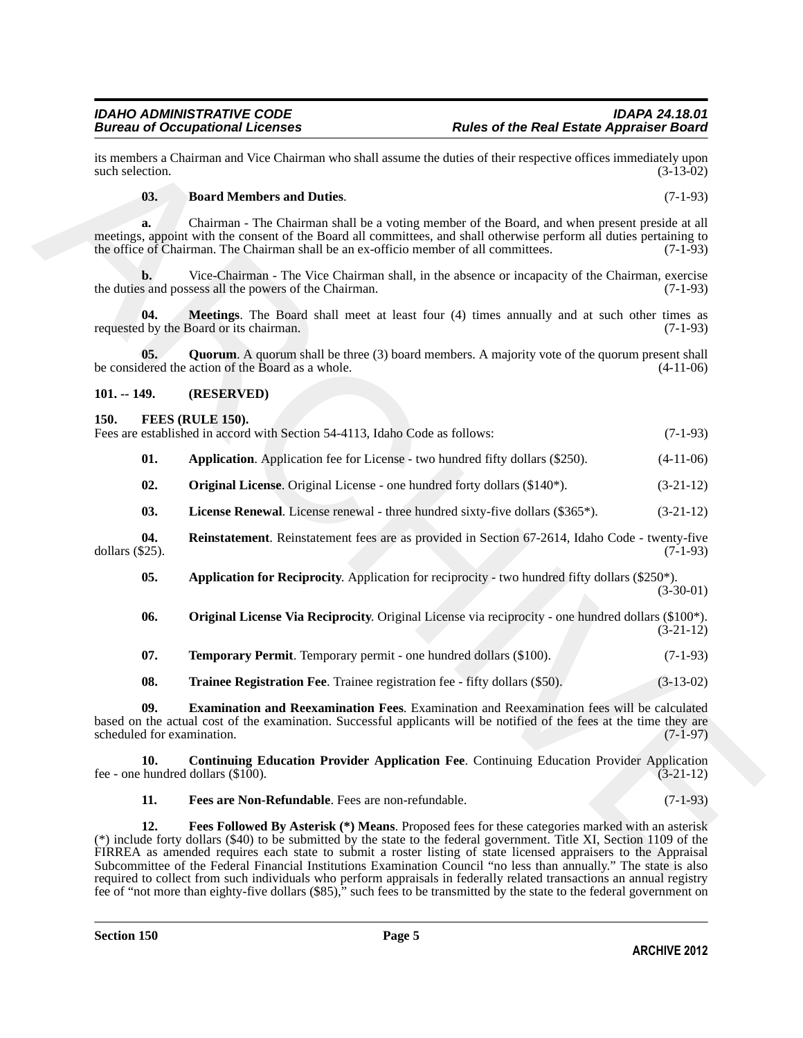its members a Chairman and Vice Chairman who shall assume the duties of their respective offices immediately upon such selection.  $(3-13-02)$ 

#### <span id="page-4-15"></span>**03. Board Members and Duties**. (7-1-93)

**a.** Chairman - The Chairman shall be a voting member of the Board, and when present preside at all meetings, appoint with the consent of the Board all committees, and shall otherwise perform all duties pertaining to the office of Chairman. The Chairman shall be an ex-officio member of all committees. (7-1-93)

**b.** Vice-Chairman - The Vice Chairman shall, in the absence or incapacity of the Chairman, exercise the duties and possess all the powers of the Chairman. (7-1-93)

<span id="page-4-16"></span>**04. Meetings**. The Board shall meet at least four (4) times annually and at such other times as d by the Board or its chairman. (7-1-93) requested by the Board or its chairman.

<span id="page-4-17"></span>**05. Quorum**. A quorum shall be three (3) board members. A majority vote of the quorum present shall lered the action of the Board as a whole. (4-11-06) be considered the action of the Board as a whole.

#### <span id="page-4-0"></span>**101. -- 149. (RESERVED)**

#### <span id="page-4-2"></span><span id="page-4-1"></span>**150. FEES (RULE 150).**

Fees are established in accord with Section 54-4113, Idaho Code as follows: (7-1-93)

<span id="page-4-3"></span>

| 01. |  |  | <b>Application.</b> Application fee for License - two hundred fifty dollars (\$250). | $(4-11-06)$ |
|-----|--|--|--------------------------------------------------------------------------------------|-------------|
|-----|--|--|--------------------------------------------------------------------------------------|-------------|

<span id="page-4-10"></span><span id="page-4-9"></span>**02. Original License**. Original License - one hundred forty dollars (\$140<sup>\*</sup>). (3-21-12)

<span id="page-4-12"></span>**03. License Renewal**. License renewal - three hundred sixty-five dollars (\$365\*). (3-21-12)

**04.** Reinstatement. Reinstatement fees are as provided in Section 67-2614, Idaho Code - twenty-five dollars (\$25). dollars (\$25). (7-1-93)

<span id="page-4-4"></span>**05.** Application for Reciprocity. Application for reciprocity - two hundred fifty dollars (\$250\*). (3-30-01)

<span id="page-4-11"></span>**06. Original License Via Reciprocity**. Original License via reciprocity - one hundred dollars (\$100\*). (3-21-12)

<span id="page-4-14"></span><span id="page-4-13"></span>

| 07.<br><b>Temporary Permit.</b> Temporary permit - one hundred dollars (\$100). | $(7-1-93)$ |
|---------------------------------------------------------------------------------|------------|
|---------------------------------------------------------------------------------|------------|

<span id="page-4-6"></span>**08. Trainee Registration Fee**. Trainee registration fee - fifty dollars (\$50). (3-13-02)

**09. Examination and Reexamination Fees**. Examination and Reexamination fees will be calculated based on the actual cost of the examination. Successful applicants will be notified of the fees at the time they are scheduled for examination. (7-1-97) scheduled for examination.

**10. Continuing Education Provider Application Fee**. Continuing Education Provider Application fee - one hundred dollars  $(\$100)$ . (3-21-12)

<span id="page-4-8"></span><span id="page-4-7"></span><span id="page-4-5"></span>**11. Fees are Non-Refundable**. Fees are non-refundable. (7-1-93)

is resember a Columna and Mos Chairman who shall assume the dates of their respective offices inmediate (3.1102)<br>
(3.13) Board Munkers and Duties.<br>
(3.12) Board Munkers and Duties.<br>
(3.12) Board Munkers and Duties.<br>
(3.2) **12. Fees Followed By Asterisk (\*) Means**. Proposed fees for these categories marked with an asterisk (\*) include forty dollars (\$40) to be submitted by the state to the federal government. Title XI, Section 1109 of the FIRREA as amended requires each state to submit a roster listing of state licensed appraisers to the Appraisal Subcommittee of the Federal Financial Institutions Examination Council "no less than annually." The state is also required to collect from such individuals who perform appraisals in federally related transactions an annual registry fee of "not more than eighty-five dollars (\$85)," such fees to be transmitted by the state to the federal government on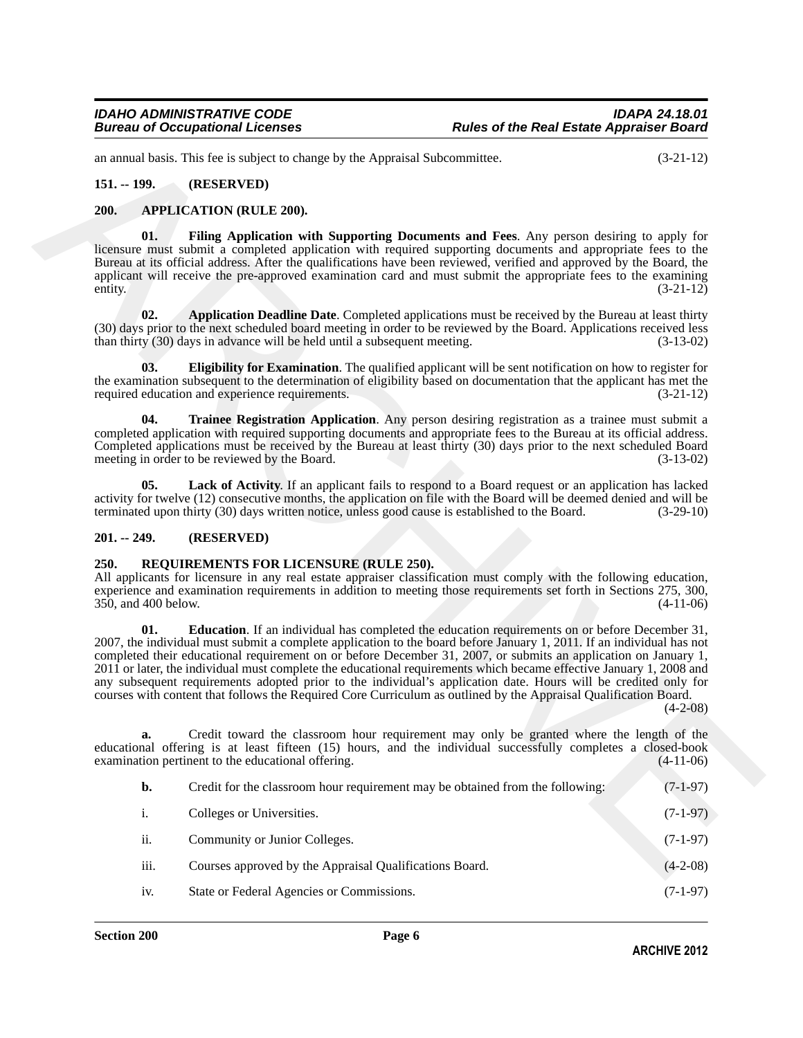#### <span id="page-5-0"></span>**151. -- 199. (RESERVED)**

#### <span id="page-5-7"></span><span id="page-5-6"></span><span id="page-5-5"></span><span id="page-5-4"></span><span id="page-5-1"></span>**200. APPLICATION (RULE 200).**

### <span id="page-5-9"></span><span id="page-5-8"></span><span id="page-5-2"></span>**201. -- 249. (RESERVED)**

#### <span id="page-5-11"></span><span id="page-5-10"></span><span id="page-5-3"></span>**250. REQUIREMENTS FOR LICENSURE (RULE 250).**

| an annual basis. This fee is subject to change by the Appraisal Subcommittee.                                                                                                                                                                                                                                                                                                                                                                                                                                                                                                                                                                                                                                           | $(3-21-12)$ |
|-------------------------------------------------------------------------------------------------------------------------------------------------------------------------------------------------------------------------------------------------------------------------------------------------------------------------------------------------------------------------------------------------------------------------------------------------------------------------------------------------------------------------------------------------------------------------------------------------------------------------------------------------------------------------------------------------------------------------|-------------|
| $151. - 199.$<br>(RESERVED)                                                                                                                                                                                                                                                                                                                                                                                                                                                                                                                                                                                                                                                                                             |             |
| <b>APPLICATION (RULE 200).</b><br>200.                                                                                                                                                                                                                                                                                                                                                                                                                                                                                                                                                                                                                                                                                  |             |
| 01.<br>Filing Application with Supporting Documents and Fees. Any person desiring to apply for<br>licensure must submit a completed application with required supporting documents and appropriate fees to the<br>Bureau at its official address. After the qualifications have been reviewed, verified and approved by the Board, the<br>applicant will receive the pre-approved examination card and must submit the appropriate fees to the examining<br>entity.                                                                                                                                                                                                                                                     | $(3-21-12)$ |
| 02.<br>Application Deadline Date. Completed applications must be received by the Bureau at least thirty<br>(30) days prior to the next scheduled board meeting in order to be reviewed by the Board. Applications received less<br>than thirty (30) days in advance will be held until a subsequent meeting.                                                                                                                                                                                                                                                                                                                                                                                                            | $(3-13-02)$ |
| 03.<br>Eligibility for Examination. The qualified applicant will be sent notification on how to register for<br>the examination subsequent to the determination of eligibility based on documentation that the applicant has met the<br>required education and experience requirements.                                                                                                                                                                                                                                                                                                                                                                                                                                 | $(3-21-12)$ |
| 04.<br>Trainee Registration Application. Any person desiring registration as a trainee must submit a<br>completed application with required supporting documents and appropriate fees to the Bureau at its official address.<br>Completed applications must be received by the Bureau at least thirty (30) days prior to the next scheduled Board<br>meeting in order to be reviewed by the Board.                                                                                                                                                                                                                                                                                                                      | $(3-13-02)$ |
| 0 <sub>5</sub><br>Lack of Activity. If an applicant fails to respond to a Board request or an application has lacked<br>activity for twelve (12) consecutive months, the application on file with the Board will be deemed denied and will be<br>terminated upon thirty (30) days written notice, unless good cause is established to the Board.                                                                                                                                                                                                                                                                                                                                                                        | $(3-29-10)$ |
| $201. - 249.$<br>(RESERVED)                                                                                                                                                                                                                                                                                                                                                                                                                                                                                                                                                                                                                                                                                             |             |
| REQUIREMENTS FOR LICENSURE (RULE 250).<br>250.<br>All applicants for licensure in any real estate appraiser classification must comply with the following education,<br>experience and examination requirements in addition to meeting those requirements set forth in Sections 275, 300,<br>350, and 400 below.                                                                                                                                                                                                                                                                                                                                                                                                        | $(4-11-06)$ |
| 01.<br><b>Education</b> . If an individual has completed the education requirements on or before December 31,<br>2007, the individual must submit a complete application to the board before January 1, 2011. If an individual has not<br>completed their educational requirement on or before December 31, 2007, or submits an application on January 1,<br>2011 or later, the individual must complete the educational requirements which became effective January 1, 2008 and<br>any subsequent requirements adopted prior to the individual's application date. Hours will be credited only for<br>courses with content that follows the Required Core Curriculum as outlined by the Appraisal Qualification Board. | $(4-2-08)$  |
| Credit toward the classroom hour requirement may only be granted where the length of the<br>a.<br>educational offering is at least fifteen (15) hours, and the individual successfully completes a closed-book<br>examination pertinent to the educational offering.                                                                                                                                                                                                                                                                                                                                                                                                                                                    | $(4-11-06)$ |
| $b$ .<br>Credit for the classroom hour requirement may be obtained from the following:                                                                                                                                                                                                                                                                                                                                                                                                                                                                                                                                                                                                                                  | $(7-1-97)$  |
| $\mathbf i.$<br>Colleges or Universities.                                                                                                                                                                                                                                                                                                                                                                                                                                                                                                                                                                                                                                                                               | $(7-1-97)$  |
| ii.<br>Community or Junior Colleges.                                                                                                                                                                                                                                                                                                                                                                                                                                                                                                                                                                                                                                                                                    | $(7-1-97)$  |
| iii.<br>Courses approved by the Appraisal Qualifications Board.                                                                                                                                                                                                                                                                                                                                                                                                                                                                                                                                                                                                                                                         | $(4-2-08)$  |
| State or Federal Agencies or Commissions.<br>iv.                                                                                                                                                                                                                                                                                                                                                                                                                                                                                                                                                                                                                                                                        | $(7-1-97)$  |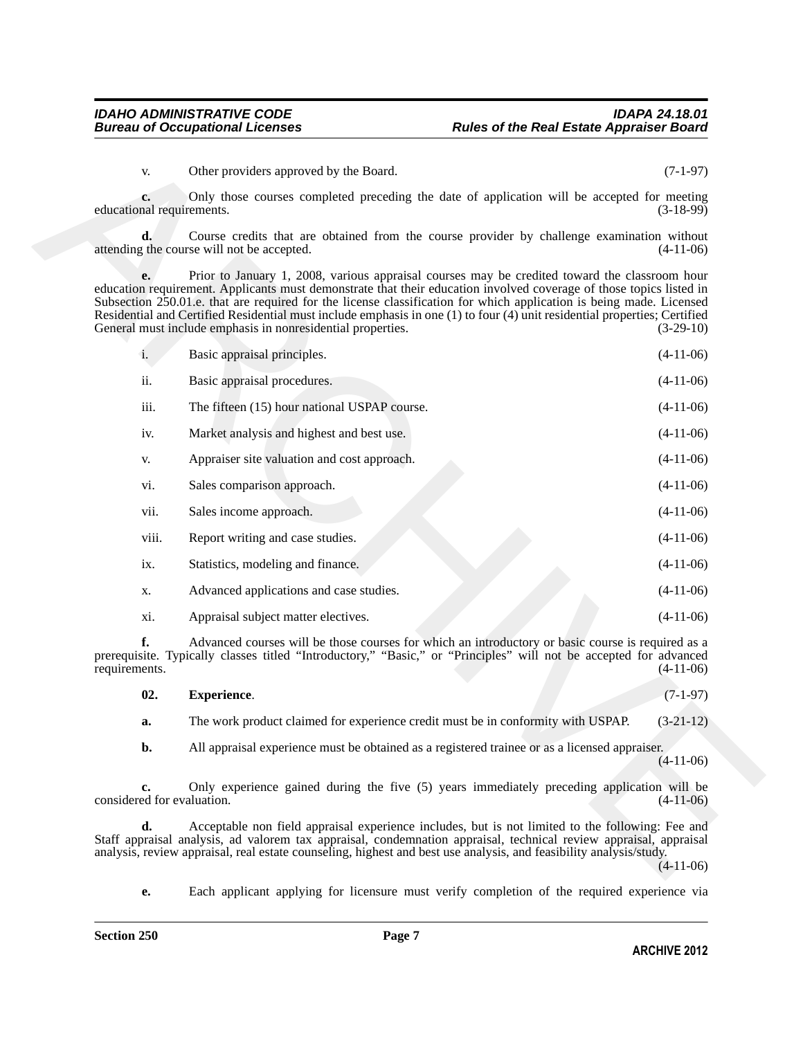| V.                               | Other providers approved by the Board.                                                                                                                                                                                                                                                                                                                                                                                                                                                                                                  | $(7-1-97)$  |
|----------------------------------|-----------------------------------------------------------------------------------------------------------------------------------------------------------------------------------------------------------------------------------------------------------------------------------------------------------------------------------------------------------------------------------------------------------------------------------------------------------------------------------------------------------------------------------------|-------------|
| c.<br>educational requirements.  | Only those courses completed preceding the date of application will be accepted for meeting                                                                                                                                                                                                                                                                                                                                                                                                                                             | $(3-18-99)$ |
| d.                               | Course credits that are obtained from the course provider by challenge examination without<br>attending the course will not be accepted.                                                                                                                                                                                                                                                                                                                                                                                                | $(4-11-06)$ |
| e.                               | Prior to January 1, 2008, various appraisal courses may be credited toward the classroom hour<br>education requirement. Applicants must demonstrate that their education involved coverage of those topics listed in<br>Subsection 250.01.e. that are required for the license classification for which application is being made. Licensed<br>Residential and Certified Residential must include emphasis in one (1) to four (4) unit residential properties; Certified<br>General must include emphasis in nonresidential properties. | $(3-29-10)$ |
| $\mathbf{i}$ .                   | Basic appraisal principles.                                                                                                                                                                                                                                                                                                                                                                                                                                                                                                             | $(4-11-06)$ |
| ii.                              | Basic appraisal procedures.                                                                                                                                                                                                                                                                                                                                                                                                                                                                                                             | $(4-11-06)$ |
| iii.                             | The fifteen (15) hour national USPAP course.                                                                                                                                                                                                                                                                                                                                                                                                                                                                                            | $(4-11-06)$ |
| iv.                              | Market analysis and highest and best use.                                                                                                                                                                                                                                                                                                                                                                                                                                                                                               | $(4-11-06)$ |
| v.                               | Appraiser site valuation and cost approach.                                                                                                                                                                                                                                                                                                                                                                                                                                                                                             | $(4-11-06)$ |
| vi.                              | Sales comparison approach.                                                                                                                                                                                                                                                                                                                                                                                                                                                                                                              | $(4-11-06)$ |
| vii.                             | Sales income approach.                                                                                                                                                                                                                                                                                                                                                                                                                                                                                                                  | $(4-11-06)$ |
| viii.                            | Report writing and case studies.                                                                                                                                                                                                                                                                                                                                                                                                                                                                                                        | $(4-11-06)$ |
| ix.                              | Statistics, modeling and finance.                                                                                                                                                                                                                                                                                                                                                                                                                                                                                                       | $(4-11-06)$ |
| X.                               | Advanced applications and case studies.                                                                                                                                                                                                                                                                                                                                                                                                                                                                                                 | $(4-11-06)$ |
| xi.                              | Appraisal subject matter electives.                                                                                                                                                                                                                                                                                                                                                                                                                                                                                                     | $(4-11-06)$ |
| f.<br>requirements.              | Advanced courses will be those courses for which an introductory or basic course is required as a<br>prerequisite. Typically classes titled "Introductory," "Basic," or "Principles" will not be accepted for advanced                                                                                                                                                                                                                                                                                                                  | $(4-11-06)$ |
| 02.                              | <b>Experience.</b>                                                                                                                                                                                                                                                                                                                                                                                                                                                                                                                      | $(7-1-97)$  |
| a.                               | The work product claimed for experience credit must be in conformity with USPAP.                                                                                                                                                                                                                                                                                                                                                                                                                                                        | $(3-21-12)$ |
| b.                               | All appraisal experience must be obtained as a registered trainee or as a licensed appraiser.                                                                                                                                                                                                                                                                                                                                                                                                                                           | $(4-11-06)$ |
| c.<br>considered for evaluation. | Only experience gained during the five (5) years immediately preceding application will be                                                                                                                                                                                                                                                                                                                                                                                                                                              | $(4-11-06)$ |
| d.                               | Acceptable non field appraisal experience includes, but is not limited to the following: Fee and<br>Staff appraisal analysis, ad valorem tax appraisal, condemnation appraisal, technical review appraisal, appraisal<br>analysis, review appraisal, real estate counseling, highest and best use analysis, and feasibility analysis/study.                                                                                                                                                                                             | $(4-11-06)$ |

<span id="page-6-0"></span>

| 02. | <b>Experience.</b>                                                                         | $(7-1-97)$ |
|-----|--------------------------------------------------------------------------------------------|------------|
| а.  | The work product claimed for experience credit must be in conformity with USPAP. (3-21-12) |            |

**e.** Each applicant applying for licensure must verify completion of the required experience via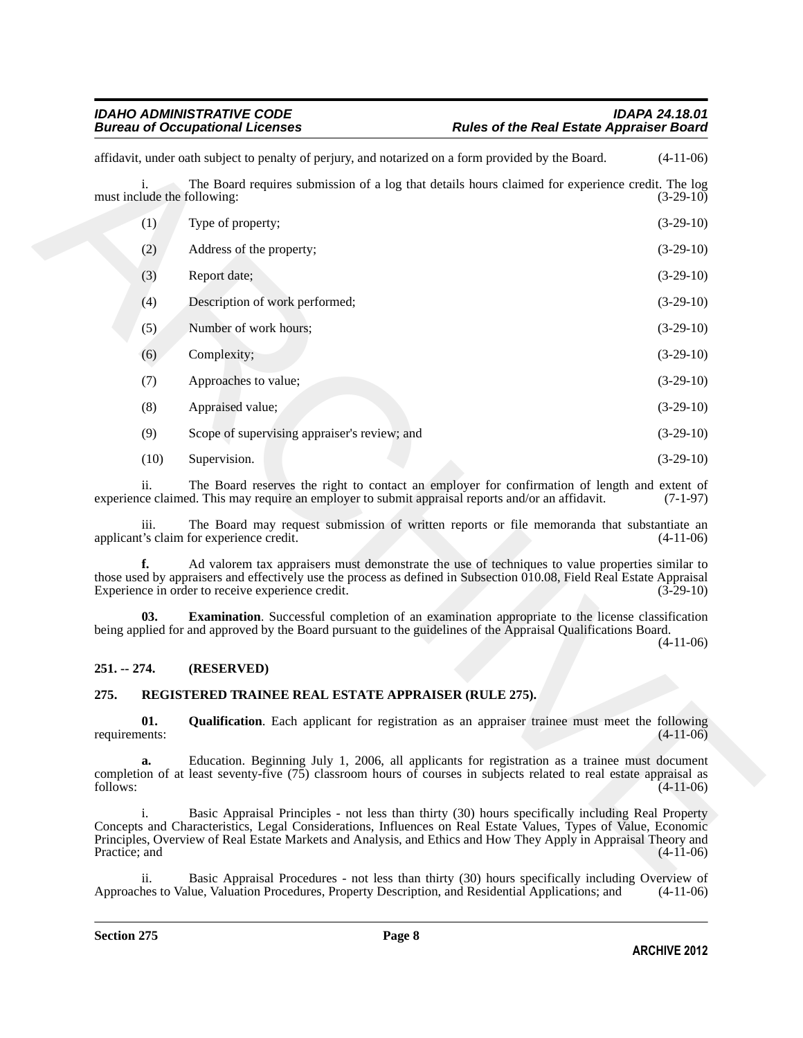#### *IDAHO ADMINISTRATIVE CODE IDAPA 24.18.01* **Rules of the Real Estate Appraiser Board**

|               |      | affidavit, under oath subject to penalty of perjury, and notarized on a form provided by the Board.                                                                                                                                                                                                                                    | $(4-11-06)$ |
|---------------|------|----------------------------------------------------------------------------------------------------------------------------------------------------------------------------------------------------------------------------------------------------------------------------------------------------------------------------------------|-------------|
|               | i.   | The Board requires submission of a log that details hours claimed for experience credit. The log<br>must include the following:                                                                                                                                                                                                        | $(3-29-10)$ |
|               | (1)  | Type of property;                                                                                                                                                                                                                                                                                                                      | $(3-29-10)$ |
|               | (2)  | Address of the property;                                                                                                                                                                                                                                                                                                               | $(3-29-10)$ |
|               | (3)  | Report date;                                                                                                                                                                                                                                                                                                                           | $(3-29-10)$ |
|               | (4)  | Description of work performed;                                                                                                                                                                                                                                                                                                         | $(3-29-10)$ |
|               | (5)  | Number of work hours;                                                                                                                                                                                                                                                                                                                  | $(3-29-10)$ |
|               | (6)  | Complexity;                                                                                                                                                                                                                                                                                                                            | $(3-29-10)$ |
|               | (7)  | Approaches to value;                                                                                                                                                                                                                                                                                                                   | $(3-29-10)$ |
|               | (8)  | Appraised value;                                                                                                                                                                                                                                                                                                                       | $(3-29-10)$ |
|               | (9)  | Scope of supervising appraiser's review; and                                                                                                                                                                                                                                                                                           | $(3-29-10)$ |
|               | (10) | Supervision.                                                                                                                                                                                                                                                                                                                           | $(3-29-10)$ |
|               | ii.  | The Board reserves the right to contact an employer for confirmation of length and extent of<br>experience claimed. This may require an employer to submit appraisal reports and/or an affidavit.                                                                                                                                      | $(7-1-97)$  |
|               | iii. | The Board may request submission of written reports or file memoranda that substantiate an<br>applicant's claim for experience credit.                                                                                                                                                                                                 | $(4-11-06)$ |
|               |      | Ad valorem tax appraisers must demonstrate the use of techniques to value properties similar to<br>those used by appraisers and effectively use the process as defined in Subsection 010.08, Field Real Estate Appraisal<br>Experience in order to receive experience credit.                                                          | $(3-29-10)$ |
|               | 03.  | <b>Examination</b> . Successful completion of an examination appropriate to the license classification<br>being applied for and approved by the Board pursuant to the guidelines of the Appraisal Qualifications Board.                                                                                                                | $(4-11-06)$ |
| $251. - 274.$ |      | (RESERVED)                                                                                                                                                                                                                                                                                                                             |             |
| 275.          |      | REGISTERED TRAINEE REAL ESTATE APPRAISER (RULE 275).                                                                                                                                                                                                                                                                                   |             |
| requirements: | 01.  | <b>Qualification</b> . Each applicant for registration as an appraiser trainee must meet the following                                                                                                                                                                                                                                 | $(4-11-06)$ |
| follows:      | a.   | Education. Beginning July 1, 2006, all applicants for registration as a trainee must document<br>completion of at least seventy-five (75) classroom hours of courses in subjects related to real estate appraisal as                                                                                                                   | $(4-11-06)$ |
| Practice; and | i.   | Basic Appraisal Principles - not less than thirty (30) hours specifically including Real Property<br>Concepts and Characteristics, Legal Considerations, Influences on Real Estate Values, Types of Value, Economic<br>Principles, Overview of Real Estate Markets and Analysis, and Ethics and How They Apply in Appraisal Theory and | $(4-11-06)$ |
|               | ii.  | Basic Approvisal Procedures - not less than thirty (30) hours specifically including Overview of                                                                                                                                                                                                                                       |             |

### <span id="page-7-4"></span><span id="page-7-0"></span>**251. -- 274. (RESERVED)**

### <span id="page-7-3"></span><span id="page-7-2"></span><span id="page-7-1"></span>**275. REGISTERED TRAINEE REAL ESTATE APPRAISER (RULE 275).**

ii. Basic Appraisal Procedures - not less than thirty (30) hours specifically including Overview of hes to Value, Valuation Procedures, Property Description, and Residential Applications; and (4-11-06) Approaches to Value, Valuation Procedures, Property Description, and Residential Applications; and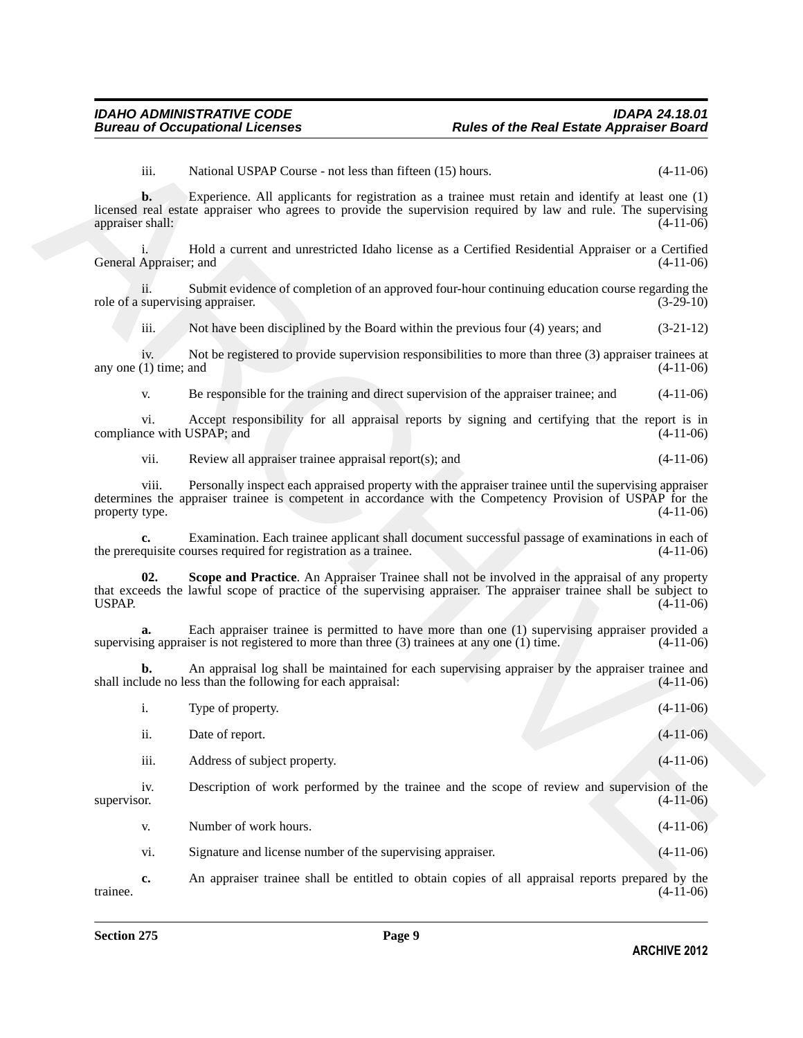| iii.                                                           | National USPAP Course - not less than fifteen (15) hours.                                                                                                                                                            | $(4-11-06)$ |
|----------------------------------------------------------------|----------------------------------------------------------------------------------------------------------------------------------------------------------------------------------------------------------------------|-------------|
| b.<br>appraiser shall:                                         | Experience. All applicants for registration as a trainee must retain and identify at least one (1)<br>licensed real estate appraiser who agrees to provide the supervision required by law and rule. The supervising | $(4-11-06)$ |
| $\mathbf{1}$ .<br>General Appraiser; and                       | Hold a current and unrestricted Idaho license as a Certified Residential Appraiser or a Certified                                                                                                                    | $(4-11-06)$ |
| $\overline{\mathbf{11}}$ .<br>role of a supervising appraiser. | Submit evidence of completion of an approved four-hour continuing education course regarding the                                                                                                                     | $(3-29-10)$ |
| iii.                                                           | Not have been disciplined by the Board within the previous four (4) years; and                                                                                                                                       | $(3-21-12)$ |
| iv.<br>any one $(1)$ time; and                                 | Not be registered to provide supervision responsibilities to more than three (3) appraiser trainees at                                                                                                               | $(4-11-06)$ |
| V.                                                             | Be responsible for the training and direct supervision of the appraiser trainee; and                                                                                                                                 | $(4-11-06)$ |
| vi.<br>compliance with USPAP; and                              | Accept responsibility for all appraisal reports by signing and certifying that the report is in                                                                                                                      | $(4-11-06)$ |
| vii.                                                           | Review all appraiser trainee appraisal report(s); and                                                                                                                                                                | $(4-11-06)$ |
| viii.<br>property type.                                        | Personally inspect each appraised property with the appraiser trainee until the supervising appraiser<br>determines the appraiser trainee is competent in accordance with the Competency Provision of USPAP for the  | $(4-11-06)$ |
| c.                                                             | Examination. Each trainee applicant shall document successful passage of examinations in each of<br>the prerequisite courses required for registration as a trainee.                                                 | $(4-11-06)$ |
| 02.<br><b>USPAP.</b>                                           | Scope and Practice. An Appraiser Trainee shall not be involved in the appraisal of any property<br>that exceeds the lawful scope of practice of the supervising appraiser. The appraiser trainee shall be subject to | $(4-11-06)$ |
| a.                                                             | Each appraiser trainee is permitted to have more than one (1) supervising appraiser provided a<br>supervising appraiser is not registered to more than three (3) trainees at any one (1) time.                       | $(4-11-06)$ |
| b.                                                             | An appraisal log shall be maintained for each supervising appraiser by the appraiser trainee and<br>shall include no less than the following for each appraisal:                                                     | $(4-11-06)$ |
| i.                                                             | Type of property.                                                                                                                                                                                                    | $(4-11-06)$ |
| ii.                                                            | Date of report.                                                                                                                                                                                                      | $(4-11-06)$ |
| iii.                                                           | Address of subject property.                                                                                                                                                                                         | $(4-11-06)$ |
| iv.<br>supervisor.                                             | Description of work performed by the trainee and the scope of review and supervision of the                                                                                                                          | $(4-11-06)$ |
| V.                                                             | Number of work hours.                                                                                                                                                                                                | $(4-11-06)$ |
| vi.                                                            | Signature and license number of the supervising appraiser.                                                                                                                                                           | $(4-11-06)$ |
|                                                                | An appraiser trainee shall be entitled to obtain copies of all appraisal reports prepared by the                                                                                                                     |             |

<span id="page-8-0"></span>**c.** An appraiser trainee shall be entitled to obtain copies of all appraisal reports prepared by the  $(4-11-06)$ trainee.  $(4-11-06)$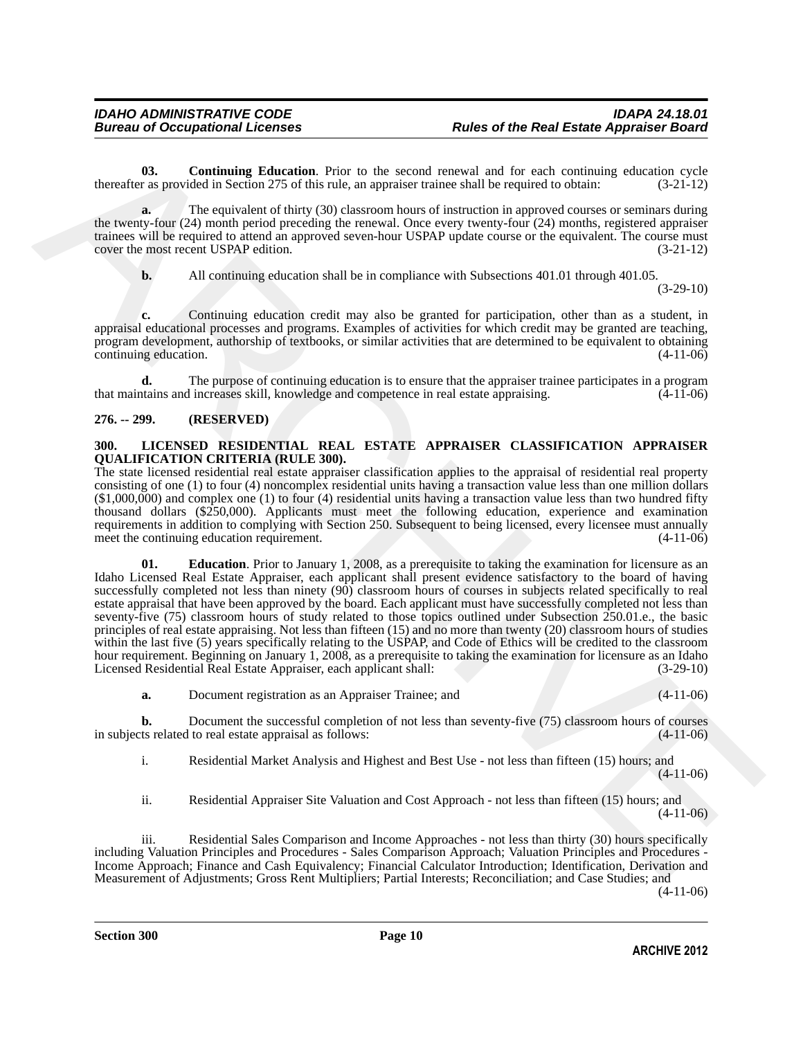<span id="page-9-4"></span>**03. Continuing Education**. Prior to the second renewal and for each continuing education cycle thereafter as provided in Section 275 of this rule, an appraiser trainee shall be required to obtain: (3-21-12)

**a.** The equivalent of thirty (30) classroom hours of instruction in approved courses or seminars during the twenty-four (24) month period preceding the renewal. Once every twenty-four (24) months, registered appraiser trainees will be required to attend an approved seven-hour USPAP update course or the equivalent. The course must cover the most recent USPAP edition. (3-21-12)

**b.** All continuing education shall be in compliance with Subsections 401.01 through 401.05.

(3-29-10)

**c.** Continuing education credit may also be granted for participation, other than as a student, in appraisal educational processes and programs. Examples of activities for which credit may be granted are teaching, program development, authorship of textbooks, or similar activities that are determined to be equivalent to obtaining continuing education. (4-11-06)

**d.** The purpose of continuing education is to ensure that the appraiser trainee participates in a program that maintains and increases skill, knowledge and competence in real estate appraising. (4-11-06)

### <span id="page-9-0"></span>**276. -- 299. (RESERVED)**

#### <span id="page-9-2"></span><span id="page-9-1"></span>**300. LICENSED RESIDENTIAL REAL ESTATE APPRAISER CLASSIFICATION APPRAISER QUALIFICATION CRITERIA (RULE 300).**

<span id="page-9-3"></span>The state licensed residential real estate appraiser classification applies to the appraisal of residential real property consisting of one (1) to four (4) noncomplex residential units having a transaction value less than one million dollars (\$1,000,000) and complex one (1) to four (4) residential units having a transaction value less than two hundred fifty thousand dollars (\$250,000). Applicants must meet the following education, experience and examination requirements in addition to complying with Section 250. Subsequent to being licensed, every licensee must annually meet the continuing education requirement. (4-11-06)

The same Constraints Foliosoftion. Prior to be second research and for each continuing elucation point<br>
The expected in Secondary 2nd effect in a paper between dual to register to detail and the constraints of the same of **01.** Education. Prior to January 1, 2008, as a prerequisite to taking the examination for licensure as an Idaho Licensed Real Estate Appraiser, each applicant shall present evidence satisfactory to the board of having successfully completed not less than ninety (90) classroom hours of courses in subjects related specifically to real estate appraisal that have been approved by the board. Each applicant must have successfully completed not less than seventy-five (75) classroom hours of study related to those topics outlined under Subsection 250.01.e., the basic principles of real estate appraising. Not less than fifteen (15) and no more than twenty (20) classroom hours of studies within the last five (5) years specifically relating to the USPAP, and Code of Ethics will be credited to the classroom hour requirement. Beginning on January 1, 2008, as a prerequisite to taking the examination for licensure as an Idaho<br>(3-29-10) (3-29-10) Licensed Residential Real Estate Appraiser, each applicant shall:

**a.** Document registration as an Appraiser Trainee; and (4-11-06)

**b.** Document the successful completion of not less than seventy-five (75) classroom hours of courses ts related to real estate appraisal as follows:  $(4-11-06)$ in subjects related to real estate appraisal as follows:

i. Residential Market Analysis and Highest and Best Use - not less than fifteen (15) hours; and  $(4-11-06)$ 

ii. Residential Appraiser Site Valuation and Cost Approach - not less than fifteen (15) hours; and (4-11-06)

iii. Residential Sales Comparison and Income Approaches - not less than thirty (30) hours specifically including Valuation Principles and Procedures - Sales Comparison Approach; Valuation Principles and Procedures - Income Approach; Finance and Cash Equivalency; Financial Calculator Introduction; Identification, Derivation and Measurement of Adjustments; Gross Rent Multipliers; Partial Interests; Reconciliation; and Case Studies; and

(4-11-06)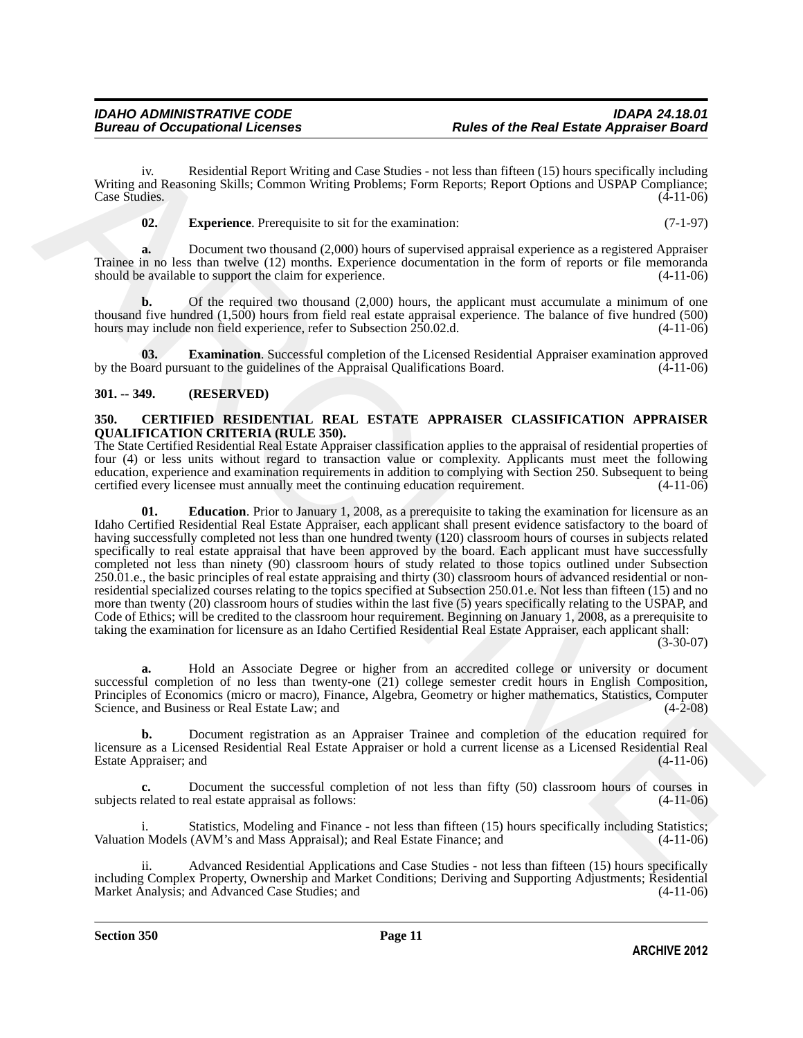iv. Residential Report Writing and Case Studies - not less than fifteen (15) hours specifically including Writing and Reasoning Skills; Common Writing Problems; Form Reports; Report Options and USPAP Compliance; Case Studies. (4-11-06)

<span id="page-10-5"></span>**02. Experience**. Prerequisite to sit for the examination: (7-1-97)

**a.** Document two thousand (2,000) hours of supervised appraisal experience as a registered Appraiser Trainee in no less than twelve (12) months. Experience documentation in the form of reports or file memoranda should be available to support the claim for experience. (4-11-06)

**b.** Of the required two thousand (2,000) hours, the applicant must accumulate a minimum of one thousand five hundred (1,500) hours from field real estate appraisal experience. The balance of five hundred (500) hours may include non field experience, refer to Subsection 250.02.d. (4-11-06) hours may include non field experience, refer to Subsection 250.02.d.

<span id="page-10-4"></span>**03. Examination**. Successful completion of the Licensed Residential Appraiser examination approved paradelel pursuant to the guidelines of the Appraisal Qualifications Board. (4-11-06) by the Board pursuant to the guidelines of the Appraisal Qualifications Board.

### <span id="page-10-0"></span>**301. -- 349. (RESERVED)**

#### <span id="page-10-2"></span><span id="page-10-1"></span>**350. CERTIFIED RESIDENTIAL REAL ESTATE APPRAISER CLASSIFICATION APPRAISER QUALIFICATION CRITERIA (RULE 350).**

<span id="page-10-3"></span>The State Certified Residential Real Estate Appraiser classification applies to the appraisal of residential properties of four (4) or less units without regard to transaction value or complexity. Applicants must meet the following education, experience and examination requirements in addition to complying with Section 250. Subsequent to being certified every licensee must annually meet the continuing education requirement.

Writing in Residential Report Writing and Case Stadies are test than Hitem (15) buens operifically including<br>Volcation Residential School (16) and the system of the system of the system of the system of the system of the **01.** Education. Prior to January 1, 2008, as a prerequisite to taking the examination for licensure as an Idaho Certified Residential Real Estate Appraiser, each applicant shall present evidence satisfactory to the board of having successfully completed not less than one hundred twenty (120) classroom hours of courses in subjects related specifically to real estate appraisal that have been approved by the board. Each applicant must have successfully completed not less than ninety (90) classroom hours of study related to those topics outlined under Subsection 250.01.e., the basic principles of real estate appraising and thirty (30) classroom hours of advanced residential or nonresidential specialized courses relating to the topics specified at Subsection 250.01.e. Not less than fifteen (15) and no more than twenty (20) classroom hours of studies within the last five (5) years specifically relating to the USPAP, and Code of Ethics; will be credited to the classroom hour requirement. Beginning on January 1, 2008, as a prerequisite to taking the examination for licensure as an Idaho Certified Residential Real Estate Appraiser, each applicant shall: (3-30-07)

**a.** Hold an Associate Degree or higher from an accredited college or university or document successful completion of no less than twenty-one (21) college semester credit hours in English Composition, Principles of Economics (micro or macro), Finance, Algebra, Geometry or higher mathematics, Statistics, Computer Science, and Business or Real Estate Law; and (4-2-08)

**b.** Document registration as an Appraiser Trainee and completion of the education required for licensure as a Licensed Residential Real Estate Appraiser or hold a current license as a Licensed Residential Real Estate Appraiser; and

**c.** Document the successful completion of not less than fifty (50) classroom hours of courses in related to real estate appraisal as follows:  $(4-11-06)$ subjects related to real estate appraisal as follows:

Statistics, Modeling and Finance - not less than fifteen (15) hours specifically including Statistics;<br>(AVM's and Mass Appraisal): and Real Estate Finance: and (4-11-06) Valuation Models (AVM's and Mass Appraisal); and Real Estate Finance; and

ii. Advanced Residential Applications and Case Studies - not less than fifteen (15) hours specifically including Complex Property, Ownership and Market Conditions; Deriving and Supporting Adjustments; Residential Market Analysis; and Advanced Case Studies; and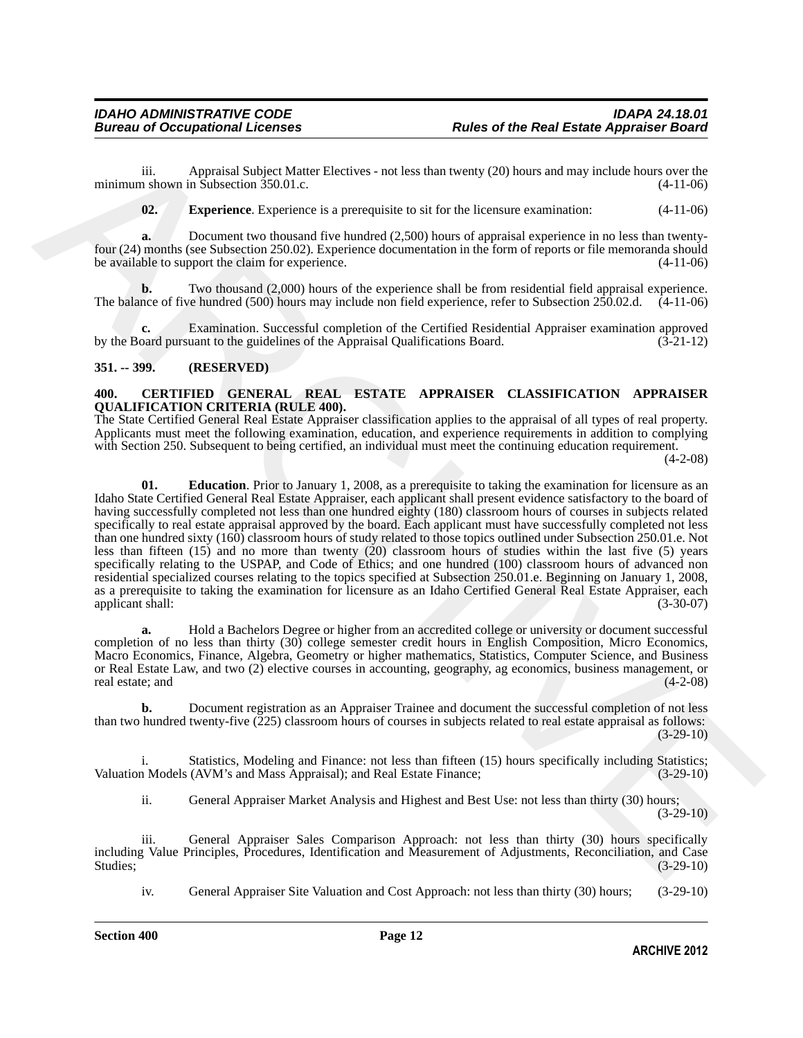iii. Appraisal Subject Matter Electives - not less than twenty (20) hours and may include hours over the minimum shown in Subsection 350.01.c.

<span id="page-11-4"></span>**02. Experience**. Experience is a prerequisite to sit for the licensure examination:  $(4-11-06)$ 

**a.** Document two thousand five hundred (2,500) hours of appraisal experience in no less than twentyfour (24) months (see Subsection 250.02). Experience documentation in the form of reports or file memoranda should be available to support the claim for experience. (4-11-06)

**b.** Two thousand (2,000) hours of the experience shall be from residential field appraisal experience. The balance of five hundred (500) hours may include non field experience, refer to Subsection 250.02.d. (4-11-06)

**c.** Examination. Successful completion of the Certified Residential Appraiser examination approved by the Board pursuant to the guidelines of the Appraisal Qualifications Board. (3-21-12)

#### <span id="page-11-0"></span>**351. -- 399. (RESERVED)**

#### <span id="page-11-2"></span><span id="page-11-1"></span>**400. CERTIFIED GENERAL REAL ESTATE APPRAISER CLASSIFICATION APPRAISER QUALIFICATION CRITERIA (RULE 400).**

<span id="page-11-3"></span>The State Certified General Real Estate Appraiser classification applies to the appraisal of all types of real property. Applicants must meet the following examination, education, and experience requirements in addition to complying with Section 250. Subsequent to being certified, an individual must meet the continuing education requirement.

(4-2-08)

The Appendixa Associates Control and the set of the the license associates the set of the set of the set of the set of the set of the set of the set of the set of the set of the set of the set of the set of the set of the **01.** Education. Prior to January 1, 2008, as a prerequisite to taking the examination for licensure as an Idaho State Certified General Real Estate Appraiser, each applicant shall present evidence satisfactory to the board of having successfully completed not less than one hundred eighty (180) classroom hours of courses in subjects related specifically to real estate appraisal approved by the board. Each applicant must have successfully completed not less than one hundred sixty (160) classroom hours of study related to those topics outlined under Subsection 250.01.e. Not less than fifteen (15) and no more than twenty (20) classroom hours of studies within the last five (5) years specifically relating to the USPAP, and Code of Ethics; and one hundred (100) classroom hours of advanced non residential specialized courses relating to the topics specified at Subsection 250.01.e. Beginning on January 1, 2008, as a prerequisite to taking the examination for licensure as an Idaho Certified General Real Estate Appraiser, each<br>(3-30-07) applicant shall:

**a.** Hold a Bachelors Degree or higher from an accredited college or university or document successful completion of no less than thirty (30) college semester credit hours in English Composition, Micro Economics, Macro Economics, Finance, Algebra, Geometry or higher mathematics, Statistics, Computer Science, and Business or Real Estate Law, and two (2) elective courses in accounting, geography, ag economics, business management, or real estate: and (4-2-08) real estate; and (4-2-08)

**b.** Document registration as an Appraiser Trainee and document the successful completion of not less than two hundred twenty-five (225) classroom hours of courses in subjects related to real estate appraisal as follows: (3-29-10)

i. Statistics, Modeling and Finance: not less than fifteen (15) hours specifically including Statistics; Valuation Models (AVM's and Mass Appraisal); and Real Estate Finance; (3-29-10)

ii. General Appraiser Market Analysis and Highest and Best Use: not less than thirty (30) hours; (3-29-10)

iii. General Appraiser Sales Comparison Approach: not less than thirty (30) hours specifically including Value Principles, Procedures, Identification and Measurement of Adjustments, Reconciliation, and Case Studies;  $(3-29-10)$ 

iv. General Appraiser Site Valuation and Cost Approach: not less than thirty (30) hours; (3-29-10)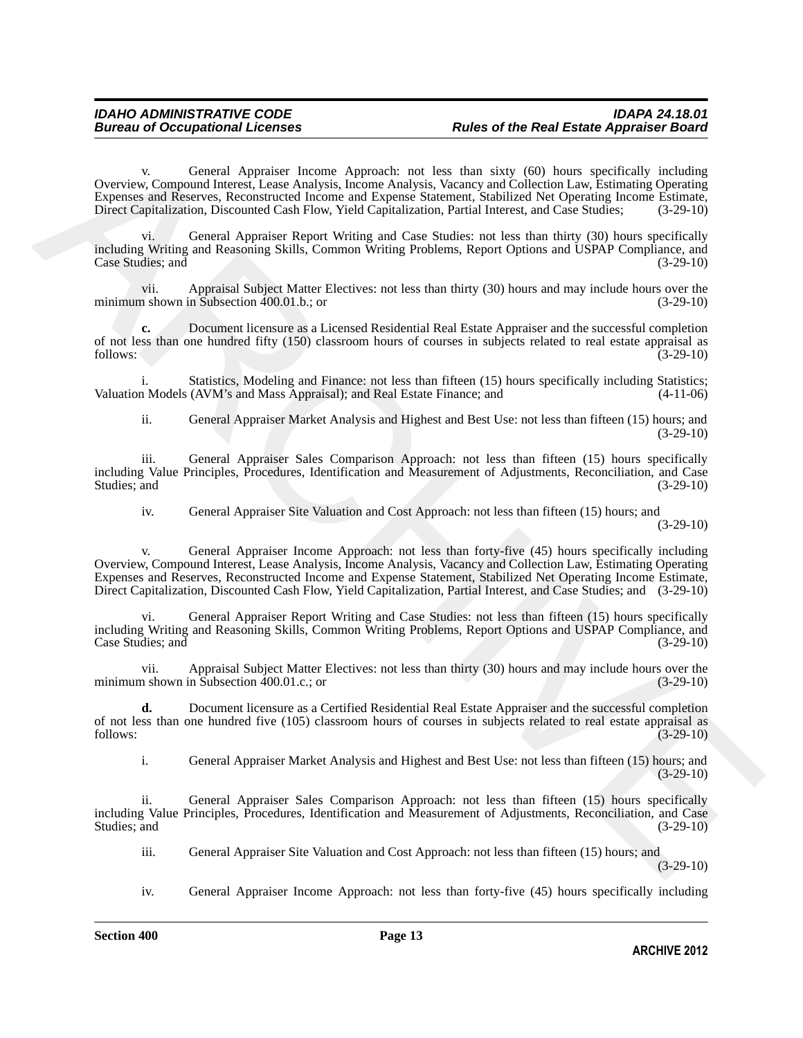v. General Appraiser Income Approach: not less than sixty (60) hours specifically including Overview, Compound Interest, Lease Analysis, Income Analysis, Vacancy and Collection Law, Estimating Operating Expenses and Reserves, Reconstructed Income and Expense Statement, Stabilized Net Operating Income Estimate, Direct Capitalization, Discounted Cash Flow, Yield Capitalization, Partial Interest, and Case Studies; (3-29-10)

vi. General Appraiser Report Writing and Case Studies: not less than thirty (30) hours specifically including Writing and Reasoning Skills, Common Writing Problems, Report Options and USPAP Compliance, and Case Studies; and (3-29-10)

vii. Appraisal Subject Matter Electives: not less than thirty (30) hours and may include hours over the minimum shown in Subsection 400.01.b.; or

**c.** Document licensure as a Licensed Residential Real Estate Appraiser and the successful completion of not less than one hundred fifty (150) classroom hours of courses in subjects related to real estate appraisal as follows: (3-29-10) follows: (3-29-10)

i. Statistics, Modeling and Finance: not less than fifteen (15) hours specifically including Statistics; Valuation Models (AVM's and Mass Appraisal); and Real Estate Finance; and (4-11-06)

ii. General Appraiser Market Analysis and Highest and Best Use: not less than fifteen (15) hours; and (3-29-10)

iii. General Appraiser Sales Comparison Approach: not less than fifteen (15) hours specifically including Value Principles, Procedures, Identification and Measurement of Adjustments, Reconciliation, and Case Studies; and (3-29-10)

iv. General Appraiser Site Valuation and Cost Approach: not less than fifteen (15) hours; and

(3-29-10)

Overvise Computer of here all Apertation Process Approach and base that stay (50) hears operfieadly including<br>Excelse Computer Similar Computer Similar Computer Similar Computer Similar Computer Similar Computer Similar C General Appraiser Income Approach: not less than forty-five (45) hours specifically including Overview, Compound Interest, Lease Analysis, Income Analysis, Vacancy and Collection Law, Estimating Operating Expenses and Reserves, Reconstructed Income and Expense Statement, Stabilized Net Operating Income Estimate, Direct Capitalization, Discounted Cash Flow, Yield Capitalization, Partial Interest, and Case Studies; and (3-29-10)

vi. General Appraiser Report Writing and Case Studies: not less than fifteen (15) hours specifically including Writing and Reasoning Skills, Common Writing Problems, Report Options and USPAP Compliance, and Case Studies; and

vii. Appraisal Subject Matter Electives: not less than thirty (30) hours and may include hours over the minimum shown in Subsection  $400.01$ .c.; or

**d.** Document licensure as a Certified Residential Real Estate Appraiser and the successful completion of not less than one hundred five (105) classroom hours of courses in subjects related to real estate appraisal as follows: (3-29-10)  $f_{0}$  follows:  $(3-29-10)$ 

i. General Appraiser Market Analysis and Highest and Best Use: not less than fifteen (15) hours; and (3-29-10)

ii. General Appraiser Sales Comparison Approach: not less than fifteen (15) hours specifically including Value Principles, Procedures, Identification and Measurement of Adjustments, Reconciliation, and Case Studies; and (3-29-10)

iii. General Appraiser Site Valuation and Cost Approach: not less than fifteen (15) hours; and (3-29-10)

iv. General Appraiser Income Approach: not less than forty-five (45) hours specifically including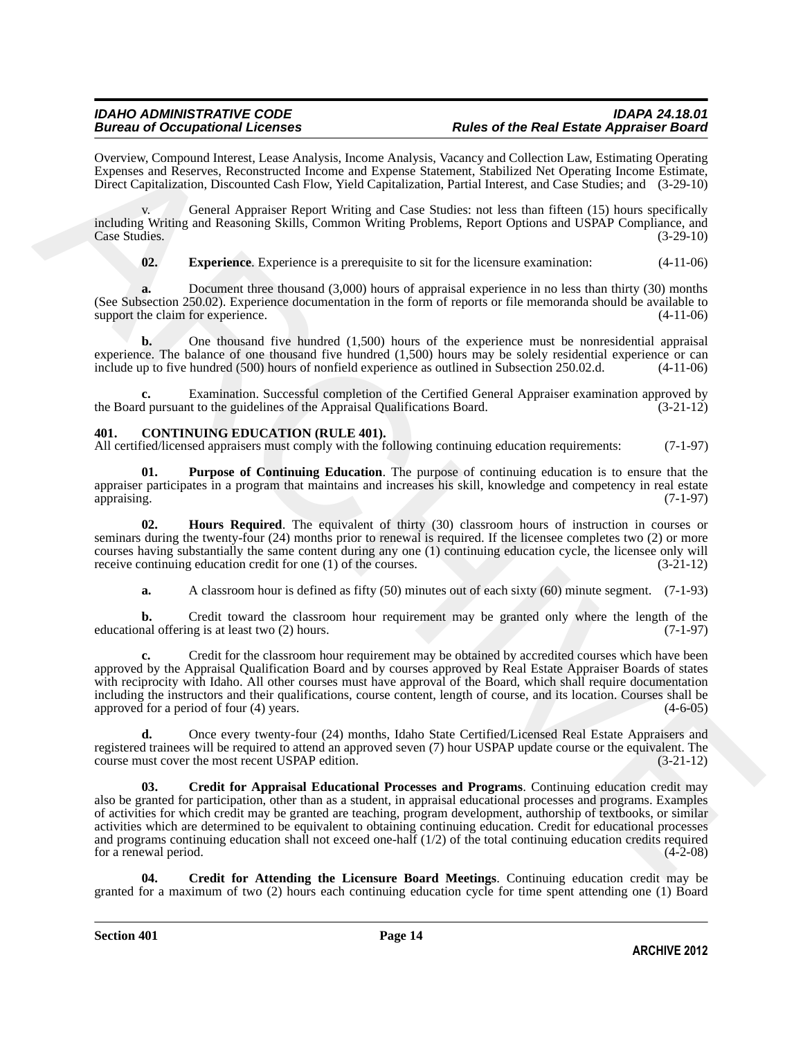Overview, Compound Interest, Lease Analysis, Income Analysis, Vacancy and Collection Law, Estimating Operating Expenses and Reserves, Reconstructed Income and Expense Statement, Stabilized Net Operating Income Estimate, Direct Capitalization, Discounted Cash Flow, Yield Capitalization, Partial Interest, and Case Studies; and (3-29-10)

General Appraiser Report Writing and Case Studies: not less than fifteen (15) hours specifically including Writing and Reasoning Skills, Common Writing Problems, Report Options and USPAP Compliance, and Case Studies. (3-29-10) Case Studies.

<span id="page-13-1"></span>**02. Experience**. Experience is a prerequisite to sit for the licensure examination: (4-11-06)

**a.** Document three thousand (3,000) hours of appraisal experience in no less than thirty (30) months (See Subsection 250.02). Experience documentation in the form of reports or file memoranda should be available to support the claim for experience. support the claim for experience.

**b.** One thousand five hundred (1,500) hours of the experience must be nonresidential appraisal experience. The balance of one thousand five hundred  $(1,500)$  hours may be solely residential experience or can include up to five hundred  $(500)$  hours of nonfield experience as outlined in Subsection 250.02.d.  $(4-11-0$ include up to five hundred (500) hours of nonfield experience as outlined in Subsection 250.02.d.

Examination. Successful completion of the Certified General Appraiser examination approved by<br>t to the guidelines of the Appraisal Qualifications Board. (3-21-12) the Board pursuant to the guidelines of the Appraisal Qualifications Board.

#### <span id="page-13-2"></span><span id="page-13-0"></span>**401. CONTINUING EDUCATION (RULE 401).**

All certified/licensed appraisers must comply with the following continuing education requirements: (7-1-97)

<span id="page-13-6"></span>**01. Purpose of Continuing Education**. The purpose of continuing education is to ensure that the appraiser participates in a program that maintains and increases his skill, knowledge and competency in real estate appraising. (7-1-97) appraising. (7-1-97)

**02. Hours Required**. The equivalent of thirty (30) classroom hours of instruction in courses or seminars during the twenty-four (24) months prior to renewal is required. If the licensee completes two (2) or more courses having substantially the same content during any one (1) continuing education cycle, the licensee only will receive continuing education credit for one (1) of the courses. (3-21-12) receive continuing education credit for one  $(1)$  of the courses.

<span id="page-13-5"></span>**a.** A classroom hour is defined as fifty (50) minutes out of each sixty (60) minute segment. (7-1-93)

**b.** Credit toward the classroom hour requirement may be granted only where the length of the nal offering is at least two (2) hours. (7-1-97) educational offering is at least two  $(2)$  hours.

**c.** Credit for the classroom hour requirement may be obtained by accredited courses which have been approved by the Appraisal Qualification Board and by courses approved by Real Estate Appraiser Boards of states with reciprocity with Idaho. All other courses must have approval of the Board, which shall require documentation including the instructors and their qualifications, course content, length of course, and its location. Courses shall be approved for a period of four (4) years. (4-6-05)

<span id="page-13-3"></span>**d.** Once every twenty-four (24) months, Idaho State Certified/Licensed Real Estate Appraisers and registered trainees will be required to attend an approved seven (7) hour USPAP update course or the equivalent. The course must cover the most recent USPAP edition.  $(3-21-12)$ course must cover the most recent USPAP edition.

Oweren, Concernent Issues; January Andeless, Recentres Andeless, Wanney of Collection any Construct Terms and Towards (September 2018). These Constitutes Constructed Constructions (September 2018)<br>These Constitutions (Sep **03. Credit for Appraisal Educational Processes and Programs**. Continuing education credit may also be granted for participation, other than as a student, in appraisal educational processes and programs. Examples of activities for which credit may be granted are teaching, program development, authorship of textbooks, or similar activities which are determined to be equivalent to obtaining continuing education. Credit for educational processes and programs continuing education shall not exceed one-half  $(1/2)$  of the total continuing education credits required for a renewal period.  $(4-2-08)$ for a renewal period.

<span id="page-13-4"></span>**04. Credit for Attending the Licensure Board Meetings**. Continuing education credit may be granted for a maximum of two (2) hours each continuing education cycle for time spent attending one (1) Board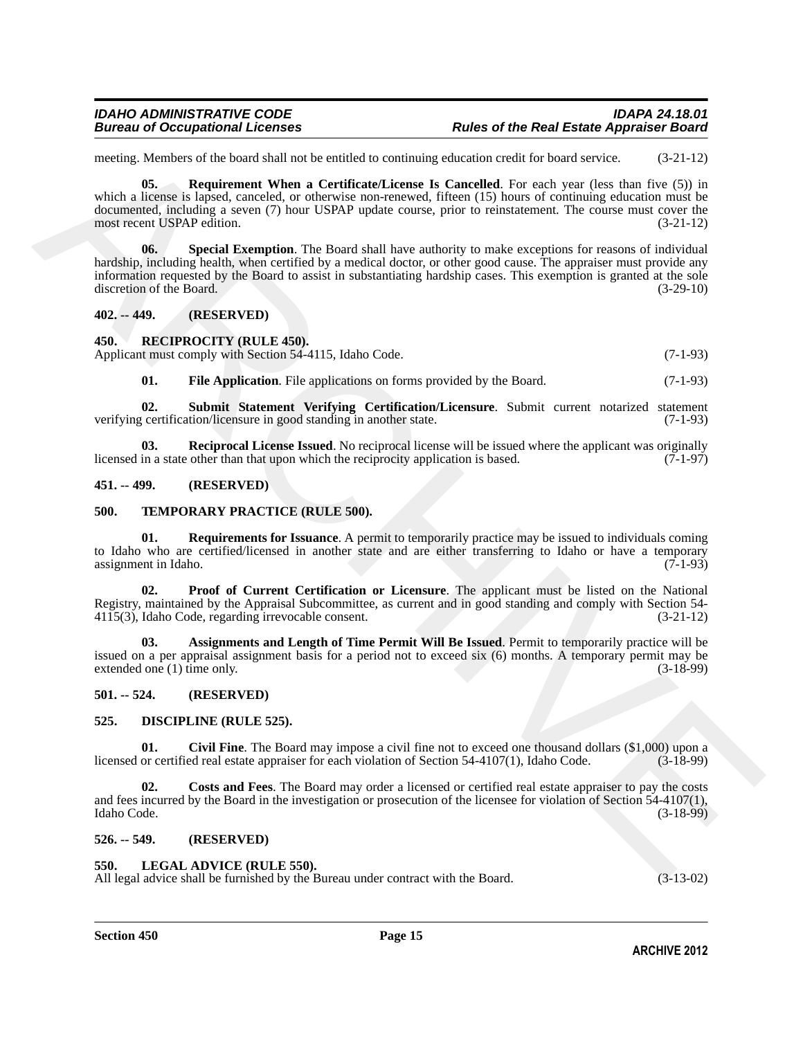<span id="page-14-8"></span>meeting. Members of the board shall not be entitled to continuing education credit for board service. (3-21-12)

meeting. Mechanical the bound of the bound of the bound of the control of the control of the bound of the bound of the bound of the bound of the control of the control of the control of the control of the control of the c **05. Requirement When a Certificate/License Is Cancelled**. For each year (less than five (5)) in which a license is lapsed, canceled, or otherwise non-renewed, fifteen (15) hours of continuing education must be documented, including a seven (7) hour USPAP update course, prior to reinstatement. The course must cover the most recent USPAP edition. (3-21-12)

<span id="page-14-9"></span>**06. Special Exemption**. The Board shall have authority to make exceptions for reasons of individual hardship, including health, when certified by a medical doctor, or other good cause. The appraiser must provide any information requested by the Board to assist in substantiating hardship cases. This exemption is granted at the sole discretion of the Board. (3-29-10) discretion of the Board.

#### <span id="page-14-0"></span>**402. -- 449. (RESERVED)**

#### <span id="page-14-14"></span><span id="page-14-1"></span>**450. RECIPROCITY (RULE 450).**

Applicant must comply with Section 54-4115, Idaho Code. (7-1-93)

<span id="page-14-17"></span><span id="page-14-16"></span><span id="page-14-15"></span>**01.** File Application. File applications on forms provided by the Board. (7-1-93)

**02. Submit Statement Verifying Certification/Licensure**. Submit current notarized statement verifying certification/licensure in good standing in another state. (7-1-93)

**03. Reciprocal License Issued**. No reciprocal license will be issued where the applicant was originally in a state other than that upon which the reciprocity application is based. (7-1-97) licensed in a state other than that upon which the reciprocity application is based.

#### <span id="page-14-2"></span>**451. -- 499. (RESERVED)**

#### <span id="page-14-18"></span><span id="page-14-3"></span>**500. TEMPORARY PRACTICE (RULE 500).**

<span id="page-14-21"></span>**01. Requirements for Issuance**. A permit to temporarily practice may be issued to individuals coming to Idaho who are certified/licensed in another state and are either transferring to Idaho or have a temporary<br>assignment in Idaho. (7-1-93) assignment in Idaho.

<span id="page-14-20"></span>**02. Proof of Current Certification or Licensure**. The applicant must be listed on the National Registry, maintained by the Appraisal Subcommittee, as current and in good standing and comply with Section 54- 4115(3), Idaho Code, regarding irrevocable consent. (3-21-12)

<span id="page-14-19"></span>**03. Assignments and Length of Time Permit Will Be Issued**. Permit to temporarily practice will be issued on a per appraisal assignment basis for a period not to exceed six (6) months. A temporary permit may be extended one (1) time only. (3-18-99) extended one  $(1)$  time only.

#### <span id="page-14-4"></span>**501. -- 524. (RESERVED)**

### <span id="page-14-10"></span><span id="page-14-5"></span>**525. DISCIPLINE (RULE 525).**

<span id="page-14-11"></span>**01.** Civil Fine. The Board may impose a civil fine not to exceed one thousand dollars (\$1,000) upon a or certified real estate appraiser for each violation of Section 54-4107(1). Idaho Code. (3-18-99) licensed or certified real estate appraiser for each violation of Section 54-4107(1), Idaho Code.

<span id="page-14-12"></span>**02. Costs and Fees**. The Board may order a licensed or certified real estate appraiser to pay the costs and fees incurred by the Board in the investigation or prosecution of the licensee for violation of Section  $\frac{54-4107(1)}{3-18-99}$ Idaho Code. (3-18-99)

#### <span id="page-14-6"></span>**526. -- 549. (RESERVED)**

#### <span id="page-14-13"></span><span id="page-14-7"></span>**550. LEGAL ADVICE (RULE 550).**

All legal advice shall be furnished by the Bureau under contract with the Board. (3-13-02)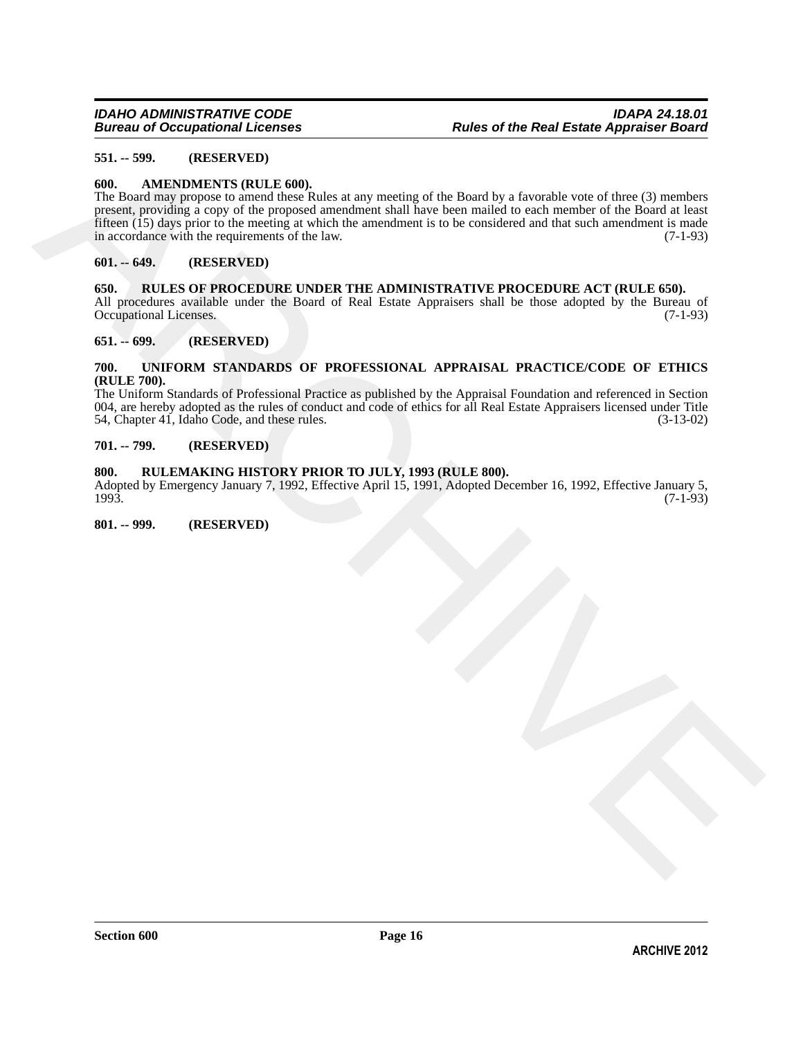### <span id="page-15-0"></span>**551. -- 599. (RESERVED)**

#### <span id="page-15-9"></span><span id="page-15-1"></span>**600. AMENDMENTS (RULE 600).**

581. ASSOCIATE THE MONDROXIC SUBSECTION CONTRACT CONTRACT CONTRACT CONTRACT CONTRACT CONTRACT CONTRACT CONTRACT CONTRACT CONTRACT CONTRACT CONTRACT CONTRACT CONTRACT CONTRACT CONTRACT CONTRACT CONTRACT CONTRACT CONTRACT C The Board may propose to amend these Rules at any meeting of the Board by a favorable vote of three (3) members present, providing a copy of the proposed amendment shall have been mailed to each member of the Board at least fifteen (15) days prior to the meeting at which the amendment is to be considered and that such amendment is made<br>in accordance with the requirements of the law.  $(7-1-93)$ in accordance with the requirements of the law.

#### <span id="page-15-2"></span>**601. -- 649. (RESERVED)**

#### <span id="page-15-10"></span><span id="page-15-3"></span>**650. RULES OF PROCEDURE UNDER THE ADMINISTRATIVE PROCEDURE ACT (RULE 650).**

All procedures available under the Board of Real Estate Appraisers shall be those adopted by the Bureau of Occupational Licenses. (7-1-93) Occupational Licenses.

#### <span id="page-15-4"></span>**651. -- 699. (RESERVED)**

#### <span id="page-15-11"></span><span id="page-15-5"></span>**700. UNIFORM STANDARDS OF PROFESSIONAL APPRAISAL PRACTICE/CODE OF ETHICS (RULE 700).**

The Uniform Standards of Professional Practice as published by the Appraisal Foundation and referenced in Section 004, are hereby adopted as the rules of conduct and code of ethics for all Real Estate Appraisers licensed under Title 54, Chapter 41, Idaho Code, and these rules.  $(3-13-02)$ 54, Chapter 41, Idaho Code, and these rules.

#### <span id="page-15-6"></span>**701. -- 799. (RESERVED)**

#### <span id="page-15-7"></span>**800. RULEMAKING HISTORY PRIOR TO JULY, 1993 (RULE 800).**

Adopted by Emergency January 7, 1992, Effective April 15, 1991, Adopted December 16, 1992, Effective January 5, 1993. 1993. (7-1-93)

<span id="page-15-8"></span>**801. -- 999. (RESERVED)**